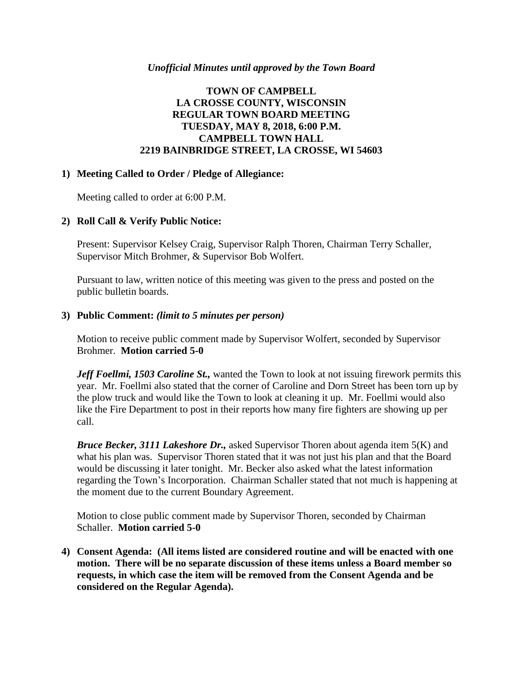### *Unofficial Minutes until approved by the Town Board*

# **TOWN OF CAMPBELL LA CROSSE COUNTY, WISCONSIN REGULAR TOWN BOARD MEETING TUESDAY, MAY 8, 2018, 6:00 P.M. CAMPBELL TOWN HALL 2219 BAINBRIDGE STREET, LA CROSSE, WI 54603**

### **1) Meeting Called to Order / Pledge of Allegiance:**

Meeting called to order at 6:00 P.M.

### **2) Roll Call & Verify Public Notice:**

Present: Supervisor Kelsey Craig, Supervisor Ralph Thoren, Chairman Terry Schaller, Supervisor Mitch Brohmer, & Supervisor Bob Wolfert.

Pursuant to law, written notice of this meeting was given to the press and posted on the public bulletin boards.

### **3) Public Comment:** *(limit to 5 minutes per person)*

Motion to receive public comment made by Supervisor Wolfert, seconded by Supervisor Brohmer. **Motion carried 5-0**

*Jeff Foellmi, 1503 Caroline St.,* wanted the Town to look at not issuing firework permits this year. Mr. Foellmi also stated that the corner of Caroline and Dorn Street has been torn up by the plow truck and would like the Town to look at cleaning it up. Mr. Foellmi would also like the Fire Department to post in their reports how many fire fighters are showing up per call.

*Bruce Becker, 3111 Lakeshore Dr.,* asked Supervisor Thoren about agenda item 5(K) and what his plan was. Supervisor Thoren stated that it was not just his plan and that the Board would be discussing it later tonight. Mr. Becker also asked what the latest information regarding the Town's Incorporation. Chairman Schaller stated that not much is happening at the moment due to the current Boundary Agreement.

Motion to close public comment made by Supervisor Thoren, seconded by Chairman Schaller. **Motion carried 5-0**

**4) Consent Agenda: (All items listed are considered routine and will be enacted with one motion. There will be no separate discussion of these items unless a Board member so requests, in which case the item will be removed from the Consent Agenda and be considered on the Regular Agenda).**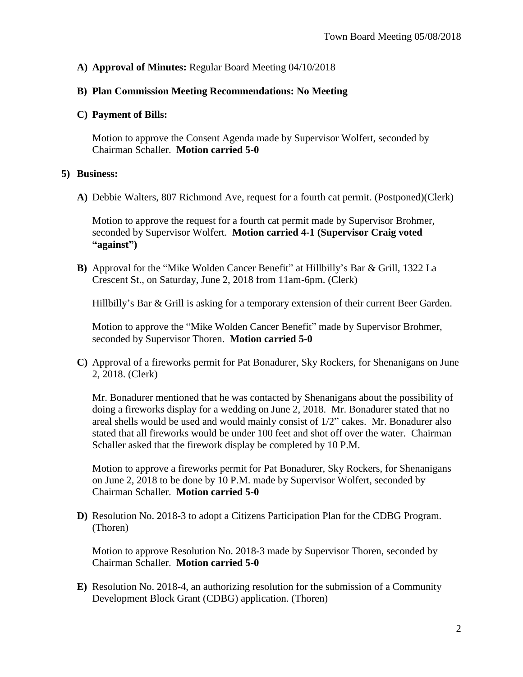## **A) Approval of Minutes:** Regular Board Meeting 04/10/2018

### **B) Plan Commission Meeting Recommendations: No Meeting**

#### **C) Payment of Bills:**

Motion to approve the Consent Agenda made by Supervisor Wolfert, seconded by Chairman Schaller. **Motion carried 5-0**

#### **5) Business:**

**A)** Debbie Walters, 807 Richmond Ave, request for a fourth cat permit. (Postponed)(Clerk)

Motion to approve the request for a fourth cat permit made by Supervisor Brohmer, seconded by Supervisor Wolfert. **Motion carried 4-1 (Supervisor Craig voted "against")**

**B)** Approval for the "Mike Wolden Cancer Benefit" at Hillbilly's Bar & Grill, 1322 La Crescent St., on Saturday, June 2, 2018 from 11am-6pm. (Clerk)

Hillbilly's Bar & Grill is asking for a temporary extension of their current Beer Garden.

Motion to approve the "Mike Wolden Cancer Benefit" made by Supervisor Brohmer, seconded by Supervisor Thoren. **Motion carried 5-0**

**C)** Approval of a fireworks permit for Pat Bonadurer, Sky Rockers, for Shenanigans on June 2, 2018. (Clerk)

Mr. Bonadurer mentioned that he was contacted by Shenanigans about the possibility of doing a fireworks display for a wedding on June 2, 2018. Mr. Bonadurer stated that no areal shells would be used and would mainly consist of 1/2" cakes. Mr. Bonadurer also stated that all fireworks would be under 100 feet and shot off over the water. Chairman Schaller asked that the firework display be completed by 10 P.M.

Motion to approve a fireworks permit for Pat Bonadurer, Sky Rockers, for Shenanigans on June 2, 2018 to be done by 10 P.M. made by Supervisor Wolfert, seconded by Chairman Schaller. **Motion carried 5-0**

**D)** Resolution No. 2018-3 to adopt a Citizens Participation Plan for the CDBG Program. (Thoren)

Motion to approve Resolution No. 2018-3 made by Supervisor Thoren, seconded by Chairman Schaller. **Motion carried 5-0**

**E)** Resolution No. 2018-4, an authorizing resolution for the submission of a Community Development Block Grant (CDBG) application. (Thoren)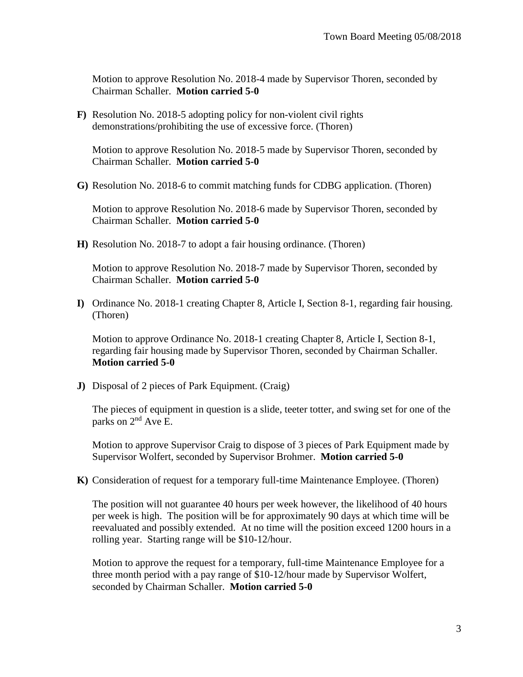Motion to approve Resolution No. 2018-4 made by Supervisor Thoren, seconded by Chairman Schaller. **Motion carried 5-0**

**F)** Resolution No. 2018-5 adopting policy for non-violent civil rights demonstrations/prohibiting the use of excessive force. (Thoren)

Motion to approve Resolution No. 2018-5 made by Supervisor Thoren, seconded by Chairman Schaller. **Motion carried 5-0**

**G)** Resolution No. 2018-6 to commit matching funds for CDBG application. (Thoren)

Motion to approve Resolution No. 2018-6 made by Supervisor Thoren, seconded by Chairman Schaller. **Motion carried 5-0**

**H)** Resolution No. 2018-7 to adopt a fair housing ordinance. (Thoren)

Motion to approve Resolution No. 2018-7 made by Supervisor Thoren, seconded by Chairman Schaller. **Motion carried 5-0**

**I)** Ordinance No. 2018-1 creating Chapter 8, Article I, Section 8-1, regarding fair housing. (Thoren)

Motion to approve Ordinance No. 2018-1 creating Chapter 8, Article I, Section 8-1, regarding fair housing made by Supervisor Thoren, seconded by Chairman Schaller. **Motion carried 5-0**

**J)** Disposal of 2 pieces of Park Equipment. (Craig)

The pieces of equipment in question is a slide, teeter totter, and swing set for one of the parks on 2<sup>nd</sup> Ave E.

Motion to approve Supervisor Craig to dispose of 3 pieces of Park Equipment made by Supervisor Wolfert, seconded by Supervisor Brohmer. **Motion carried 5-0**

**K)** Consideration of request for a temporary full-time Maintenance Employee. (Thoren)

The position will not guarantee 40 hours per week however, the likelihood of 40 hours per week is high. The position will be for approximately 90 days at which time will be reevaluated and possibly extended. At no time will the position exceed 1200 hours in a rolling year. Starting range will be \$10-12/hour.

Motion to approve the request for a temporary, full-time Maintenance Employee for a three month period with a pay range of \$10-12/hour made by Supervisor Wolfert, seconded by Chairman Schaller. **Motion carried 5-0**